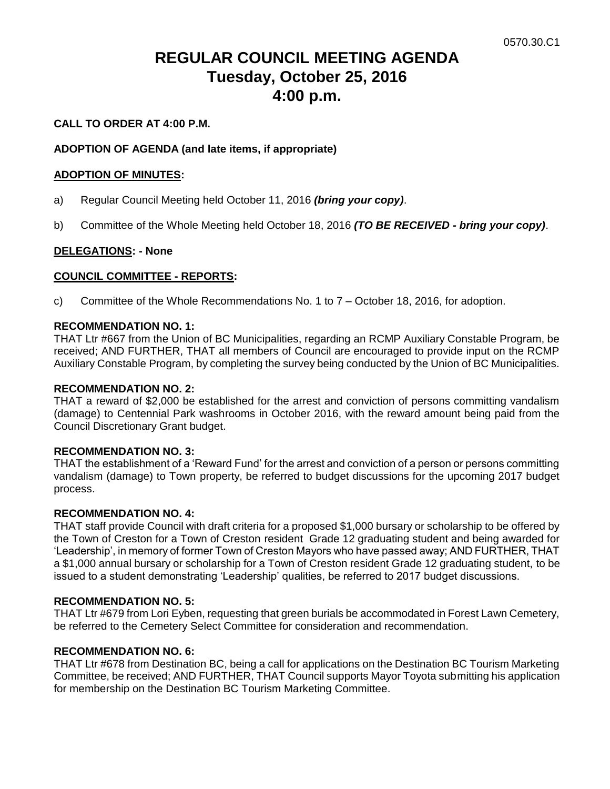# **REGULAR COUNCIL MEETING AGENDA Tuesday, October 25, 2016 4:00 p.m.**

# **CALL TO ORDER AT 4:00 P.M.**

# **ADOPTION OF AGENDA (and late items, if appropriate)**

## **ADOPTION OF MINUTES:**

- a) Regular Council Meeting held October 11, 2016 *(bring your copy)*.
- b) Committee of the Whole Meeting held October 18, 2016 *(TO BE RECEIVED - bring your copy)*.

## **DELEGATIONS: - None**

## **COUNCIL COMMITTEE - REPORTS:**

c) Committee of the Whole Recommendations No. 1 to 7 – October 18, 2016, for adoption.

#### **RECOMMENDATION NO. 1:**

THAT Ltr #667 from the Union of BC Municipalities, regarding an RCMP Auxiliary Constable Program, be received; AND FURTHER, THAT all members of Council are encouraged to provide input on the RCMP Auxiliary Constable Program, by completing the survey being conducted by the Union of BC Municipalities.

#### **RECOMMENDATION NO. 2:**

THAT a reward of \$2,000 be established for the arrest and conviction of persons committing vandalism (damage) to Centennial Park washrooms in October 2016, with the reward amount being paid from the Council Discretionary Grant budget.

#### **RECOMMENDATION NO. 3:**

THAT the establishment of a 'Reward Fund' for the arrest and conviction of a person or persons committing vandalism (damage) to Town property, be referred to budget discussions for the upcoming 2017 budget process.

#### **RECOMMENDATION NO. 4:**

THAT staff provide Council with draft criteria for a proposed \$1,000 bursary or scholarship to be offered by the Town of Creston for a Town of Creston resident Grade 12 graduating student and being awarded for 'Leadership', in memory of former Town of Creston Mayors who have passed away; AND FURTHER, THAT a \$1,000 annual bursary or scholarship for a Town of Creston resident Grade 12 graduating student, to be issued to a student demonstrating 'Leadership' qualities, be referred to 2017 budget discussions.

#### **RECOMMENDATION NO. 5:**

THAT Ltr #679 from Lori Eyben, requesting that green burials be accommodated in Forest Lawn Cemetery, be referred to the Cemetery Select Committee for consideration and recommendation.

#### **RECOMMENDATION NO. 6:**

THAT Ltr #678 from Destination BC, being a call for applications on the Destination BC Tourism Marketing Committee, be received; AND FURTHER, THAT Council supports Mayor Toyota submitting his application for membership on the Destination BC Tourism Marketing Committee.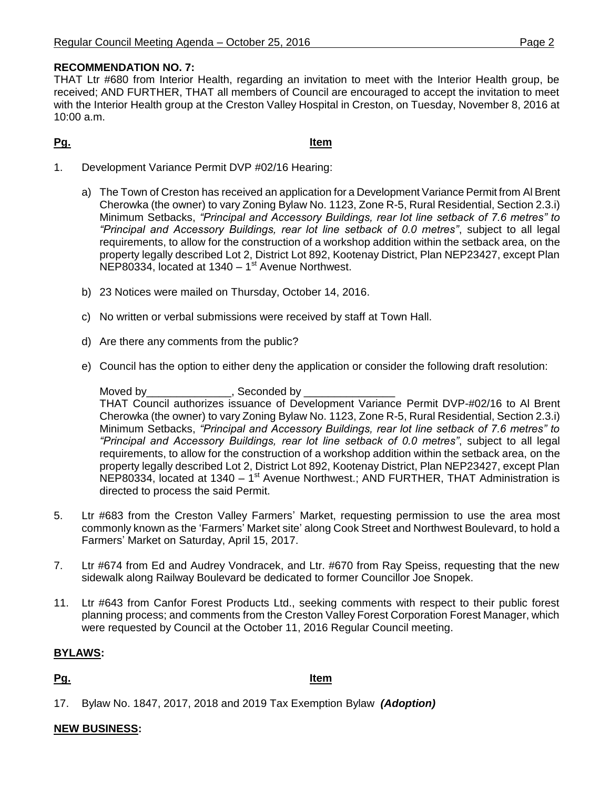# **RECOMMENDATION NO. 7:**

THAT Ltr #680 from Interior Health, regarding an invitation to meet with the Interior Health group, be received; AND FURTHER, THAT all members of Council are encouraged to accept the invitation to meet with the Interior Health group at the Creston Valley Hospital in Creston, on Tuesday, November 8, 2016 at 10:00 a.m.

**Pg. Item**

- 1. Development Variance Permit DVP #02/16 Hearing:
	- a) The Town of Creston has received an application for a Development Variance Permit from Al Brent Cherowka (the owner) to vary Zoning Bylaw No. 1123, Zone R-5, Rural Residential, Section 2.3.i) Minimum Setbacks, *"Principal and Accessory Buildings, rear lot line setback of 7.6 metres" to "Principal and Accessory Buildings, rear lot line setback of 0.0 metres"*, subject to all legal requirements, to allow for the construction of a workshop addition within the setback area, on the property legally described Lot 2, District Lot 892, Kootenay District, Plan NEP23427, except Plan NEP80334, located at 1340 - 1<sup>st</sup> Avenue Northwest.
	- b) 23 Notices were mailed on Thursday, October 14, 2016.
	- c) No written or verbal submissions were received by staff at Town Hall.
	- d) Are there any comments from the public?
	- e) Council has the option to either deny the application or consider the following draft resolution:

Moved by \_\_\_\_\_\_\_\_\_\_\_\_\_\_\_\_\_, Seconded by

THAT Council authorizes issuance of Development Variance Permit DVP-#02/16 to Al Brent Cherowka (the owner) to vary Zoning Bylaw No. 1123, Zone R-5, Rural Residential, Section 2.3.i) Minimum Setbacks, *"Principal and Accessory Buildings, rear lot line setback of 7.6 metres" to "Principal and Accessory Buildings, rear lot line setback of 0.0 metres"*, subject to all legal requirements, to allow for the construction of a workshop addition within the setback area, on the property legally described Lot 2, District Lot 892, Kootenay District, Plan NEP23427, except Plan NEP80334, located at 1340 - 1<sup>st</sup> Avenue Northwest.; AND FURTHER, THAT Administration is directed to process the said Permit.

- 5. Ltr #683 from the Creston Valley Farmers' Market, requesting permission to use the area most commonly known as the 'Farmers' Market site' along Cook Street and Northwest Boulevard, to hold a Farmers' Market on Saturday, April 15, 2017.
- 7. Ltr #674 from Ed and Audrey Vondracek, and Ltr. #670 from Ray Speiss, requesting that the new sidewalk along Railway Boulevard be dedicated to former Councillor Joe Snopek.
- 11. Ltr #643 from Canfor Forest Products Ltd., seeking comments with respect to their public forest planning process; and comments from the Creston Valley Forest Corporation Forest Manager, which were requested by Council at the October 11, 2016 Regular Council meeting.

# **BYLAWS:**

**Pg. Item**

17. Bylaw No. 1847, 2017, 2018 and 2019 Tax Exemption Bylaw *(Adoption)*

# **NEW BUSINESS:**